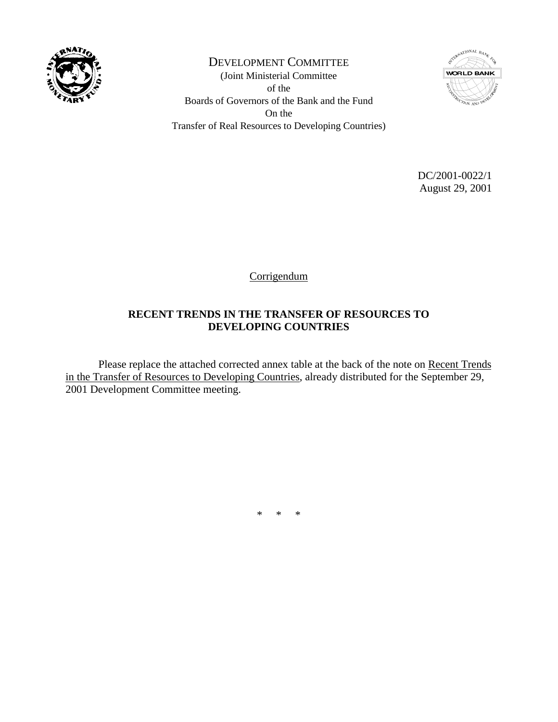

DEVELOPMENT COMMITTEE (Joint Ministerial Committee of the Boards of Governors of the Bank and the Fund On the Transfer of Real Resources to Developing Countries)



 DC/2001-0022/1 August 29, 2001

Corrigendum

## **RECENT TRENDS IN THE TRANSFER OF RESOURCES TO DEVELOPING COUNTRIES**

 Please replace the attached corrected annex table at the back of the note on Recent Trends in the Transfer of Resources to Developing Countries, already distributed for the September 29, 2001 Development Committee meeting.

\* \* \*